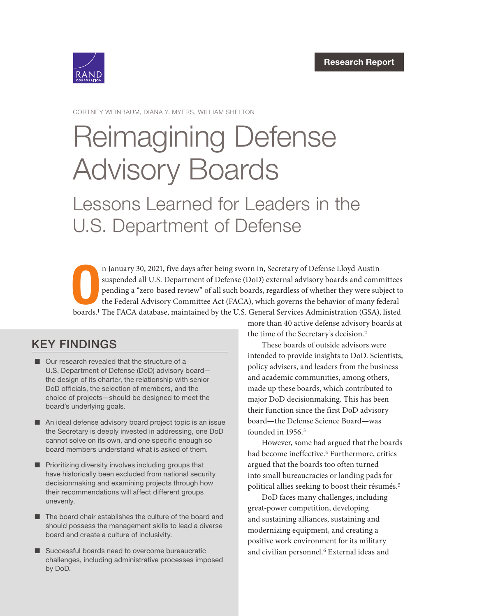

CORTNEY WEINBAUM, DIANA Y. MYERS, WILLIAM SHELTON

# [Reimagining Defense](https://www.rand.org/pubs/research_reports/RRA1301-1.html)  Advisory Boards

Lessons Learned for Leaders in the U.S. Department of Defense

n January 30, 2021, five days after being sworn in, Secretary of Defense Lloyd Austin<br>suspended all U.S. Department of Defense (DoD) external advisory boards and committees<br>pending a "zero-based review" of all such boards, n January 30, 2021, five days after being sworn in, Secretary of Defense Lloyd Austin suspended all U.S. Department of Defense (DoD) external advisory boards and committees pending a "zero-based review" of all such boards, regardless of whether they were subject to the Federal Advisory Committee Act (FACA), which governs the behavior of many federal

## KEY FINDINGS

- Our research revealed that the structure of a U.S. Department of Defense (DoD) advisory board the design of its charter, the relationship with senior DoD officials, the selection of members, and the choice of projects—should be designed to meet the board's underlying goals.
- An ideal defense advisory board project topic is an issue the Secretary is deeply invested in addressing, one DoD cannot solve on its own, and one specific enough so board members understand what is asked of them.
- Prioritizing diversity involves including groups that have historically been excluded from national security decisionmaking and examining projects through how their recommendations will affect different groups unevenly.
- The board chair establishes the culture of the board and should possess the management skills to lead a diverse board and create a culture of inclusivity.
- Successful boards need to overcome bureaucratic challenges, including administrative processes imposed by DoD.

more than 40 active defense advisory boards at the time of the Secretary's decision.2

These boards of outside advisors were intended to provide insights to DoD. Scientists, policy advisers, and leaders from the business and academic communities, among others, made up these boards, which contributed to major DoD decisionmaking. This has been their function since the first DoD advisory board—the Defense Science Board—was founded in 1956.<sup>3</sup>

However, some had argued that the boards had become ineffective.<sup>4</sup> Furthermore, critics argued that the boards too often turned into small bureaucracies or landing pads for political allies seeking to boost their résumés.5

DoD faces many challenges, including great-power competition, developing and sustaining alliances, sustaining and modernizing equipment, and creating a positive work environment for its military and civilian personnel.<sup>6</sup> External ideas and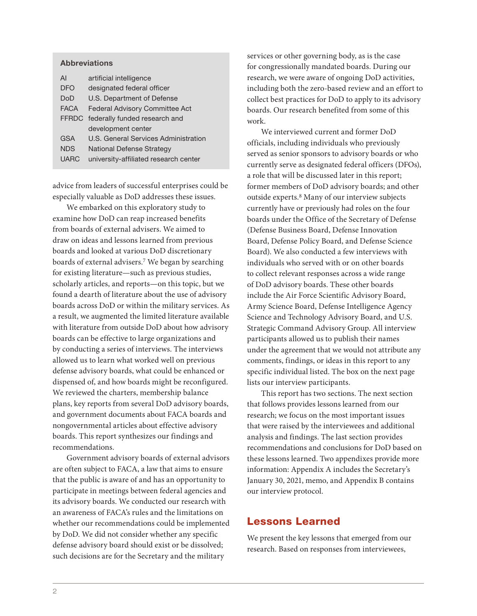#### Abbreviations

| AI          | artificial intelligence               |  |  |
|-------------|---------------------------------------|--|--|
| DFO         | designated federal officer            |  |  |
| DoD         | U.S. Department of Defense            |  |  |
| <b>FACA</b> | <b>Federal Advisory Committee Act</b> |  |  |
|             | FFRDC federally funded research and   |  |  |
|             | development center                    |  |  |
| GSA         | U.S. General Services Administration  |  |  |
| <b>NDS</b>  | National Defense Strategy             |  |  |
| <b>UARC</b> | university-affiliated research center |  |  |

advice from leaders of successful enterprises could be especially valuable as DoD addresses these issues.

We embarked on this exploratory study to examine how DoD can reap increased benefits from boards of external advisers. We aimed to draw on ideas and lessons learned from previous boards and looked at various DoD discretionary boards of external advisers.7 We began by searching for existing literature—such as previous studies, scholarly articles, and reports—on this topic, but we found a dearth of literature about the use of advisory boards across DoD or within the military services. As a result, we augmented the limited literature available with literature from outside DoD about how advisory boards can be effective to large organizations and by conducting a series of interviews. The interviews allowed us to learn what worked well on previous defense advisory boards, what could be enhanced or dispensed of, and how boards might be reconfigured. We reviewed the charters, membership balance plans, key reports from several DoD advisory boards, and government documents about FACA boards and nongovernmental articles about effective advisory boards. This report synthesizes our findings and recommendations.

Government advisory boards of external advisors are often subject to FACA, a law that aims to ensure that the public is aware of and has an opportunity to participate in meetings between federal agencies and its advisory boards. We conducted our research with an awareness of FACA's rules and the limitations on whether our recommendations could be implemented by DoD. We did not consider whether any specific defense advisory board should exist or be dissolved; such decisions are for the Secretary and the military

services or other governing body, as is the case for congressionally mandated boards. During our research, we were aware of ongoing DoD activities, including both the zero-based review and an effort to collect best practices for DoD to apply to its advisory boards. Our research benefited from some of this work.

We interviewed current and former DoD officials, including individuals who previously served as senior sponsors to advisory boards or who currently serve as designated federal officers (DFOs), a role that will be discussed later in this report; former members of DoD advisory boards; and other outside experts.8 Many of our interview subjects currently have or previously had roles on the four boards under the Office of the Secretary of Defense (Defense Business Board, Defense Innovation Board, Defense Policy Board, and Defense Science Board). We also conducted a few interviews with individuals who served with or on other boards to collect relevant responses across a wide range of DoD advisory boards. These other boards include the Air Force Scientific Advisory Board, Army Science Board, Defense Intelligence Agency Science and Technology Advisory Board, and U.S. Strategic Command Advisory Group. All interview participants allowed us to publish their names under the agreement that we would not attribute any comments, findings, or ideas in this report to any specific individual listed. The box on the next page lists our interview participants.

This report has two sections. The next section that follows provides lessons learned from our research; we focus on the most important issues that were raised by the interviewees and additional analysis and findings. The last section provides recommendations and conclusions for DoD based on these lessons learned. Two appendixes provide more information: Appendix A includes the Secretary's January 30, 2021, memo, and Appendix B contains our interview protocol.

## Lessons Learned

We present the key lessons that emerged from our research. Based on responses from interviewees,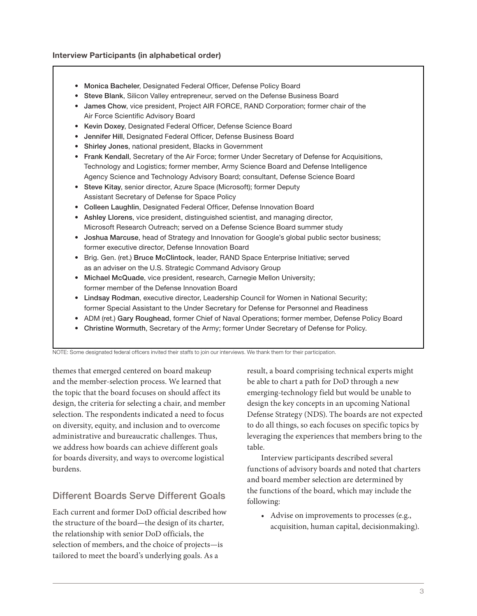#### Interview Participants (in alphabetical order)

- Monica Bacheler, Designated Federal Officer, Defense Policy Board
- Steve Blank, Silicon Valley entrepreneur, served on the Defense Business Board
- James Chow, vice president, Project AIR FORCE, RAND Corporation; former chair of the Air Force Scientific Advisory Board
- Kevin Doxey, Designated Federal Officer, Defense Science Board
- Jennifer Hill, Designated Federal Officer, Defense Business Board
- Shirley Jones, national president, Blacks in Government
- Frank Kendall, Secretary of the Air Force; former Under Secretary of Defense for Acquisitions, Technology and Logistics; former member, Army Science Board and Defense Intelligence Agency Science and Technology Advisory Board; consultant, Defense Science Board
- Steve Kitay, senior director, Azure Space (Microsoft); former Deputy Assistant Secretary of Defense for Space Policy
- Colleen Laughlin, Designated Federal Officer, Defense Innovation Board
- Ashley Llorens, vice president, distinguished scientist, and managing director, Microsoft Research Outreach; served on a Defense Science Board summer study
- Joshua Marcuse, head of Strategy and Innovation for Google's global public sector business; former executive director, Defense Innovation Board
- Brig. Gen. (ret.) Bruce McClintock, leader, RAND Space Enterprise Initiative; served as an adviser on the U.S. Strategic Command Advisory Group
- Michael McQuade, vice president, research, Carnegie Mellon University; former member of the Defense Innovation Board
- Lindsay Rodman, executive director, Leadership Council for Women in National Security; former Special Assistant to the Under Secretary for Defense for Personnel and Readiness
- ADM (ret.) Gary Roughead, former Chief of Naval Operations; former member, Defense Policy Board
- Christine Wormuth, Secretary of the Army; former Under Secretary of Defense for Policy.

NOTE: Some designated federal officers invited their staffs to join our interviews. We thank them for their participation.

themes that emerged centered on board makeup and the member-selection process. We learned that the topic that the board focuses on should affect its design, the criteria for selecting a chair, and member selection. The respondents indicated a need to focus on diversity, equity, and inclusion and to overcome administrative and bureaucratic challenges. Thus, we address how boards can achieve different goals for boards diversity, and ways to overcome logistical burdens.

## Different Boards Serve Different Goals

Each current and former DoD official described how the structure of the board—the design of its charter, the relationship with senior DoD officials, the selection of members, and the choice of projects—is tailored to meet the board's underlying goals. As a

result, a board comprising technical experts might be able to chart a path for DoD through a new emerging-technology field but would be unable to design the key concepts in an upcoming National Defense Strategy (NDS). The boards are not expected to do all things, so each focuses on specific topics by leveraging the experiences that members bring to the table.

Interview participants described several functions of advisory boards and noted that charters and board member selection are determined by the functions of the board, which may include the following:

• Advise on improvements to processes (e.g., acquisition, human capital, decisionmaking).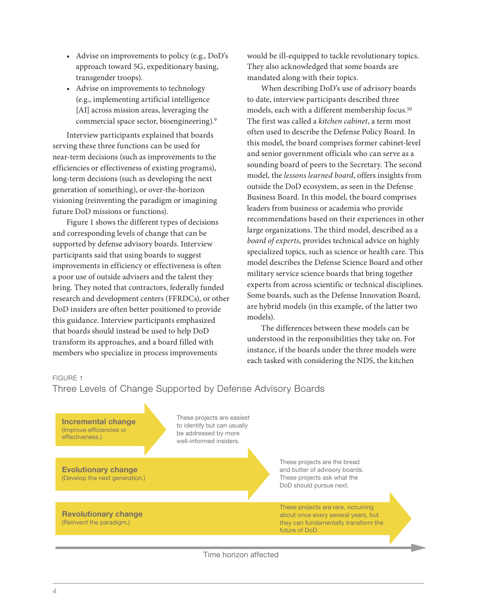- Advise on improvements to policy (e.g., DoD's approach toward 5G, expeditionary basing, transgender troops).
- Advise on improvements to technology (e.g., implementing artificial intelligence [AI] across mission areas, leveraging the commercial space sector, bioengineering).9

Interview participants explained that boards serving these three functions can be used for near-term decisions (such as improvements to the efficiencies or effectiveness of existing programs), long-term decisions (such as developing the next generation of something), or over-the-horizon visioning (reinventing the paradigm or imagining future DoD missions or functions).

Figure 1 shows the different types of decisions and corresponding levels of change that can be supported by defense advisory boards. Interview participants said that using boards to suggest improvements in efficiency or effectiveness is often a poor use of outside advisers and the talent they bring. They noted that contractors, federally funded research and development centers (FFRDCs), or other DoD insiders are often better positioned to provide this guidance. Interview participants emphasized that boards should instead be used to help DoD transform its approaches, and a board filled with members who specialize in process improvements

would be ill-equipped to tackle revolutionary topics. They also acknowledged that some boards are mandated along with their topics.

When describing DoD's use of advisory boards to date, interview participants described three models, each with a different membership focus.10 The first was called a *kitchen cabinet*, a term most often used to describe the Defense Policy Board. In this model, the board comprises former cabinet-level and senior government officials who can serve as a sounding board of peers to the Secretary. The second model, the *lessons learned board*, offers insights from outside the DoD ecosystem, as seen in the Defense Business Board. In this model, the board comprises leaders from business or academia who provide recommendations based on their experiences in other large organizations. The third model, described as a *board of experts*, provides technical advice on highly specialized topics, such as science or health care. This model describes the Defense Science Board and other military service science boards that bring together experts from across scientific or technical disciplines. Some boards, such as the Defense Innovation Board, are hybrid models (in this example, of the latter two models).

The differences between these models can be understood in the responsibilities they take on. For instance, if the boards under the three models were each tasked with considering the NDS, the kitchen

FIGURE 1

Three Levels of Change Supported by Defense Advisory Boards



Time horizon affected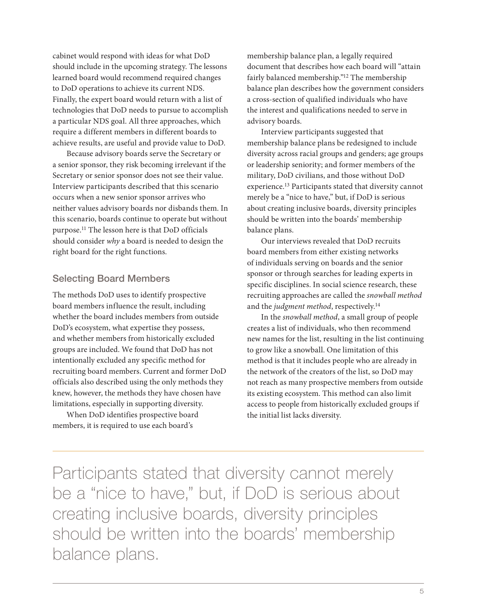cabinet would respond with ideas for what DoD should include in the upcoming strategy. The lessons learned board would recommend required changes to DoD operations to achieve its current NDS. Finally, the expert board would return with a list of technologies that DoD needs to pursue to accomplish a particular NDS goal. All three approaches, which require a different members in different boards to achieve results, are useful and provide value to DoD.

Because advisory boards serve the Secretary or a senior sponsor, they risk becoming irrelevant if the Secretary or senior sponsor does not see their value. Interview participants described that this scenario occurs when a new senior sponsor arrives who neither values advisory boards nor disbands them. In this scenario, boards continue to operate but without purpose.11 The lesson here is that DoD officials should consider *why* a board is needed to design the right board for the right functions.

## Selecting Board Members

The methods DoD uses to identify prospective board members influence the result, including whether the board includes members from outside DoD's ecosystem, what expertise they possess, and whether members from historically excluded groups are included. We found that DoD has not intentionally excluded any specific method for recruiting board members. Current and former DoD officials also described using the only methods they knew, however, the methods they have chosen have limitations, especially in supporting diversity.

When DoD identifies prospective board members, it is required to use each board's

membership balance plan, a legally required document that describes how each board will "attain fairly balanced membership."12 The membership balance plan describes how the government considers a cross-section of qualified individuals who have the interest and qualifications needed to serve in advisory boards.

Interview participants suggested that membership balance plans be redesigned to include diversity across racial groups and genders; age groups or leadership seniority; and former members of the military, DoD civilians, and those without DoD experience.13 Participants stated that diversity cannot merely be a "nice to have," but, if DoD is serious about creating inclusive boards, diversity principles should be written into the boards' membership balance plans.

Our interviews revealed that DoD recruits board members from either existing networks of individuals serving on boards and the senior sponsor or through searches for leading experts in specific disciplines. In social science research, these recruiting approaches are called the *snowball method* and the *judgment method*, respectively.14

In the *snowball method*, a small group of people creates a list of individuals, who then recommend new names for the list, resulting in the list continuing to grow like a snowball. One limitation of this method is that it includes people who are already in the network of the creators of the list, so DoD may not reach as many prospective members from outside its existing ecosystem. This method can also limit access to people from historically excluded groups if the initial list lacks diversity.

Participants stated that diversity cannot merely be a "nice to have," but, if DoD is serious about creating inclusive boards, diversity principles should be written into the boards' membership balance plans.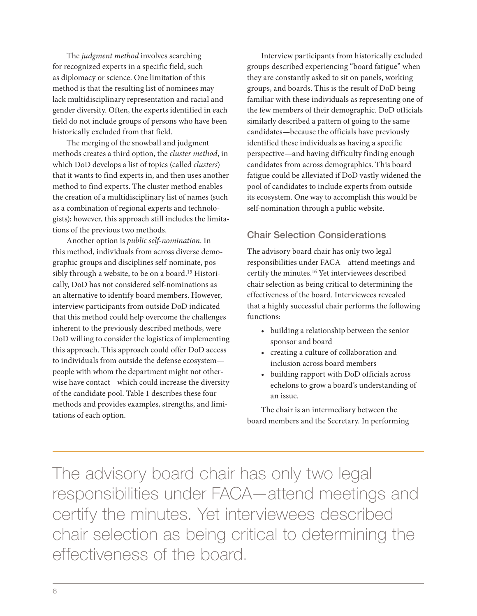The *judgment method* involves searching for recognized experts in a specific field, such as diplomacy or science. One limitation of this method is that the resulting list of nominees may lack multidisciplinary representation and racial and gender diversity. Often, the experts identified in each field do not include groups of persons who have been historically excluded from that field.

The merging of the snowball and judgment methods creates a third option, the *cluster method*, in which DoD develops a list of topics (called *clusters*) that it wants to find experts in, and then uses another method to find experts. The cluster method enables the creation of a multidisciplinary list of names (such as a combination of regional experts and technologists); however, this approach still includes the limitations of the previous two methods.

Another option is *public self-nomination*. In this method, individuals from across diverse demographic groups and disciplines self-nominate, possibly through a website, to be on a board.<sup>15</sup> Historically, DoD has not considered self-nominations as an alternative to identify board members. However, interview participants from outside DoD indicated that this method could help overcome the challenges inherent to the previously described methods, were DoD willing to consider the logistics of implementing this approach. This approach could offer DoD access to individuals from outside the defense ecosystem people with whom the department might not otherwise have contact—which could increase the diversity of the candidate pool. Table 1 describes these four methods and provides examples, strengths, and limitations of each option.

Interview participants from historically excluded groups described experiencing "board fatigue" when they are constantly asked to sit on panels, working groups, and boards. This is the result of DoD being familiar with these individuals as representing one of the few members of their demographic. DoD officials similarly described a pattern of going to the same candidates—because the officials have previously identified these individuals as having a specific perspective—and having difficulty finding enough candidates from across demographics. This board fatigue could be alleviated if DoD vastly widened the pool of candidates to include experts from outside its ecosystem. One way to accomplish this would be self-nomination through a public website.

## Chair Selection Considerations

The advisory board chair has only two legal responsibilities under FACA—attend meetings and certify the minutes.16 Yet interviewees described chair selection as being critical to determining the effectiveness of the board. Interviewees revealed that a highly successful chair performs the following functions:

- building a relationship between the senior sponsor and board
- creating a culture of collaboration and inclusion across board members
- building rapport with DoD officials across echelons to grow a board's understanding of an issue.

The chair is an intermediary between the board members and the Secretary. In performing

The advisory board chair has only two legal responsibilities under FACA—attend meetings and certify the minutes. Yet interviewees described chair selection as being critical to determining the effectiveness of the board.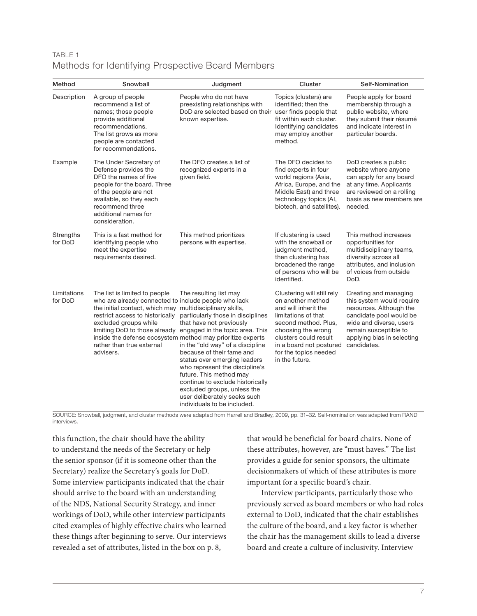## TABLE 1 Methods for Identifying Prospective Board Members

| Method                 | Snowball                                                                                                                                                                                                                                                | Judgment                                                                                                                                                                                                                                                                                                                                                                                                                                                                                                               | Cluster                                                                                                                                                                                                                                     | Self-Nomination                                                                                                                                                                                           |
|------------------------|---------------------------------------------------------------------------------------------------------------------------------------------------------------------------------------------------------------------------------------------------------|------------------------------------------------------------------------------------------------------------------------------------------------------------------------------------------------------------------------------------------------------------------------------------------------------------------------------------------------------------------------------------------------------------------------------------------------------------------------------------------------------------------------|---------------------------------------------------------------------------------------------------------------------------------------------------------------------------------------------------------------------------------------------|-----------------------------------------------------------------------------------------------------------------------------------------------------------------------------------------------------------|
| Description            | A group of people<br>recommend a list of<br>names; those people<br>provide additional<br>recommendations.<br>The list grows as more<br>people are contacted<br>for recommendations.                                                                     | People who do not have<br>preexisting relationships with<br>DoD are selected based on their user finds people that<br>known expertise.                                                                                                                                                                                                                                                                                                                                                                                 | Topics (clusters) are<br>identified; then the<br>fit within each cluster.<br>Identifying candidates<br>may employ another<br>method.                                                                                                        | People apply for board<br>membership through a<br>public website, where<br>they submit their résumé<br>and indicate interest in<br>particular boards.                                                     |
| Example                | The Under Secretary of<br>Defense provides the<br>DFO the names of five<br>people for the board. Three<br>of the people are not<br>available, so they each<br>recommend three<br>additional names for<br>consideration.                                 | The DFO creates a list of<br>recognized experts in a<br>given field.                                                                                                                                                                                                                                                                                                                                                                                                                                                   | The DFO decides to<br>find experts in four<br>world regions (Asia,<br>Africa, Europe, and the<br>Middle East) and three<br>technology topics (AI,<br>biotech, and satellites).                                                              | DoD creates a public<br>website where anyone<br>can apply for any board<br>at any time. Applicants<br>are reviewed on a rolling<br>basis as new members are<br>needed.                                    |
| Strengths<br>for DoD   | This is a fast method for<br>identifying people who<br>meet the expertise<br>requirements desired.                                                                                                                                                      | This method prioritizes<br>persons with expertise.                                                                                                                                                                                                                                                                                                                                                                                                                                                                     | If clustering is used<br>with the snowball or<br>judgment method,<br>then clustering has<br>broadened the range<br>of persons who will be<br>identified.                                                                                    | This method increases<br>opportunities for<br>multidisciplinary teams,<br>diversity across all<br>attributes, and inclusion<br>of voices from outside<br>DoD.                                             |
| Limitations<br>for DoD | The list is limited to people<br>who are already connected to include people who lack<br>the initial contact, which may multidisciplinary skills,<br>restrict access to historically<br>excluded groups while<br>rather than true external<br>advisers. | The resulting list may<br>particularly those in disciplines<br>that have not previously<br>limiting DoD to those already engaged in the topic area. This<br>inside the defense ecosystem method may prioritize experts<br>in the "old way" of a discipline<br>because of their fame and<br>status over emerging leaders<br>who represent the discipline's<br>future. This method may<br>continue to exclude historically<br>excluded groups, unless the<br>user deliberately seeks such<br>individuals to be included. | Clustering will still rely<br>on another method<br>and will inherit the<br>limitations of that<br>second method. Plus,<br>choosing the wrong<br>clusters could result<br>in a board not postured<br>for the topics needed<br>in the future. | Creating and managing<br>this system would require<br>resources. Although the<br>candidate pool would be<br>wide and diverse, users<br>remain susceptible to<br>applying bias in selecting<br>candidates. |

SOURCE: Snowball, judgment, and cluster methods were adapted from Harrell and Bradley, 2009, pp. 31–32. Self-nomination was adapted from RAND interviews.

this function, the chair should have the ability to understand the needs of the Secretary or help the senior sponsor (if it is someone other than the Secretary) realize the Secretary's goals for DoD. Some interview participants indicated that the chair should arrive to the board with an understanding of the NDS, National Security Strategy, and inner workings of DoD, while other interview participants cited examples of highly effective chairs who learned these things after beginning to serve. Our interviews revealed a set of attributes, listed in the box on p. 8,

that would be beneficial for board chairs. None of these attributes, however, are "must haves." The list provides a guide for senior sponsors, the ultimate decisionmakers of which of these attributes is more important for a specific board's chair.

Interview participants, particularly those who previously served as board members or who had roles external to DoD, indicated that the chair establishes the culture of the board, and a key factor is whether the chair has the management skills to lead a diverse board and create a culture of inclusivity. Interview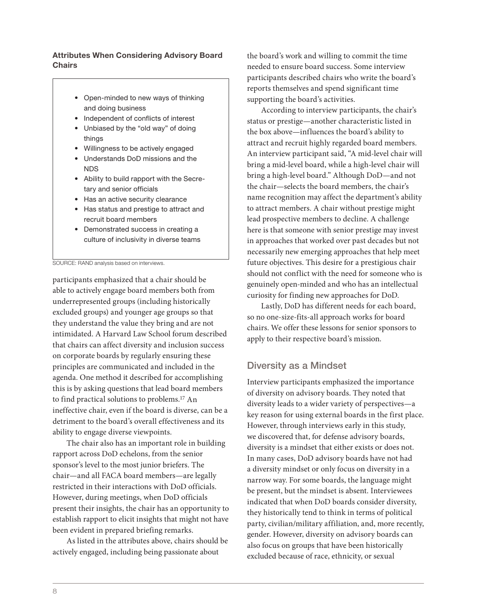#### Attributes When Considering Advisory Board **Chairs**

- Open-minded to new ways of thinking and doing business
- Independent of conflicts of interest
- Unbiased by the "old way" of doing things
- Willingness to be actively engaged
- Understands DoD missions and the NDS
- Ability to build rapport with the Secretary and senior officials
- Has an active security clearance
- Has status and prestige to attract and recruit board members
- Demonstrated success in creating a culture of inclusivity in diverse teams

SOURCE: RAND analysis based on interviews.

participants emphasized that a chair should be able to actively engage board members both from underrepresented groups (including historically excluded groups) and younger age groups so that they understand the value they bring and are not intimidated. A Harvard Law School forum described that chairs can affect diversity and inclusion success on corporate boards by regularly ensuring these principles are communicated and included in the agenda. One method it described for accomplishing this is by asking questions that lead board members to find practical solutions to problems.17 An ineffective chair, even if the board is diverse, can be a detriment to the board's overall effectiveness and its ability to engage diverse viewpoints.

The chair also has an important role in building rapport across DoD echelons, from the senior sponsor's level to the most junior briefers. The chair—and all FACA board members—are legally restricted in their interactions with DoD officials. However, during meetings, when DoD officials present their insights, the chair has an opportunity to establish rapport to elicit insights that might not have been evident in prepared briefing remarks.

As listed in the attributes above, chairs should be actively engaged, including being passionate about

the board's work and willing to commit the time needed to ensure board success. Some interview participants described chairs who write the board's reports themselves and spend significant time supporting the board's activities.

According to interview participants, the chair's status or prestige—another characteristic listed in the box above—influences the board's ability to attract and recruit highly regarded board members. An interview participant said, "A mid-level chair will bring a mid-level board, while a high-level chair will bring a high-level board." Although DoD—and not the chair—selects the board members, the chair's name recognition may affect the department's ability to attract members. A chair without prestige might lead prospective members to decline. A challenge here is that someone with senior prestige may invest in approaches that worked over past decades but not necessarily new emerging approaches that help meet future objectives. This desire for a prestigious chair should not conflict with the need for someone who is genuinely open-minded and who has an intellectual curiosity for finding new approaches for DoD.

Lastly, DoD has different needs for each board, so no one-size-fits-all approach works for board chairs. We offer these lessons for senior sponsors to apply to their respective board's mission.

## Diversity as a Mindset

Interview participants emphasized the importance of diversity on advisory boards. They noted that diversity leads to a wider variety of perspectives—a key reason for using external boards in the first place. However, through interviews early in this study, we discovered that, for defense advisory boards, diversity is a mindset that either exists or does not. In many cases, DoD advisory boards have not had a diversity mindset or only focus on diversity in a narrow way. For some boards, the language might be present, but the mindset is absent. Interviewees indicated that when DoD boards consider diversity, they historically tend to think in terms of political party, civilian/military affiliation, and, more recently, gender. However, diversity on advisory boards can also focus on groups that have been historically excluded because of race, ethnicity, or sexual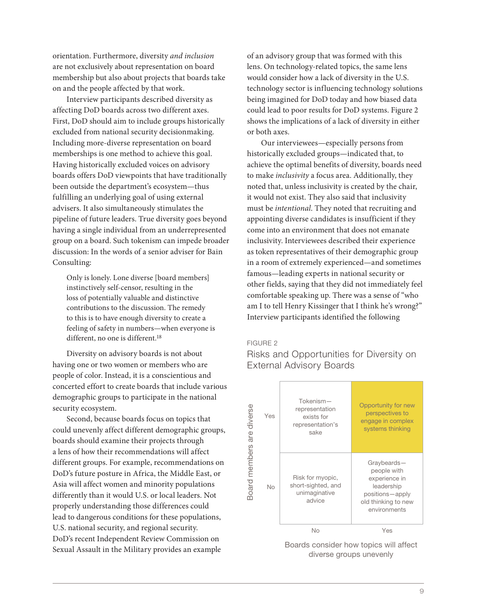orientation. Furthermore, diversity *and inclusion* are not exclusively about representation on board membership but also about projects that boards take on and the people affected by that work.

Interview participants described diversity as affecting DoD boards across two different axes. First, DoD should aim to include groups historically excluded from national security decisionmaking. Including more-diverse representation on board memberships is one method to achieve this goal. Having historically excluded voices on advisory boards offers DoD viewpoints that have traditionally been outside the department's ecosystem—thus fulfilling an underlying goal of using external advisers. It also simultaneously stimulates the pipeline of future leaders. True diversity goes beyond having a single individual from an underrepresented group on a board. Such tokenism can impede broader discussion: In the words of a senior adviser for Bain Consulting:

Only is lonely. Lone diverse [board members] instinctively self-censor, resulting in the loss of potentially valuable and distinctive contributions to the discussion. The remedy to this is to have enough diversity to create a feeling of safety in numbers—when everyone is different, no one is different.<sup>18</sup>

Diversity on advisory boards is not about having one or two women or members who are people of color. Instead, it is a conscientious and concerted effort to create boards that include various demographic groups to participate in the national security ecosystem.

Second, because boards focus on topics that could unevenly affect different demographic groups, boards should examine their projects through a lens of how their recommendations will affect different groups. For example, recommendations on DoD's future posture in Africa, the Middle East, or Asia will affect women and minority populations differently than it would U.S. or local leaders. Not properly understanding those differences could lead to dangerous conditions for these populations, U.S. national security, and regional security. DoD's recent Independent Review Commission on Sexual Assault in the Military provides an example

of an advisory group that was formed with this lens. On technology-related topics, the same lens would consider how a lack of diversity in the U.S. technology sector is influencing technology solutions being imagined for DoD today and how biased data could lead to poor results for DoD systems. Figure 2 shows the implications of a lack of diversity in either or both axes.

Our interviewees—especially persons from historically excluded groups—indicated that, to achieve the optimal benefits of diversity, boards need to make *inclusivity* a focus area. Additionally, they noted that, unless inclusivity is created by the chair, it would not exist. They also said that inclusivity must be *intentional*. They noted that recruiting and appointing diverse candidates is insufficient if they come into an environment that does not emanate inclusivity. Interviewees described their experience as token representatives of their demographic group in a room of extremely experienced—and sometimes famous—leading experts in national security or other fields, saying that they did not immediately feel comfortable speaking up. There was a sense of "who am I to tell Henry Kissinger that I think he's wrong?" Interview participants identified the following

#### FIGURE 2

Risks and Opportunities for Diversity on External Advisory Boards



Boards consider how topics will affect diverse groups unevenly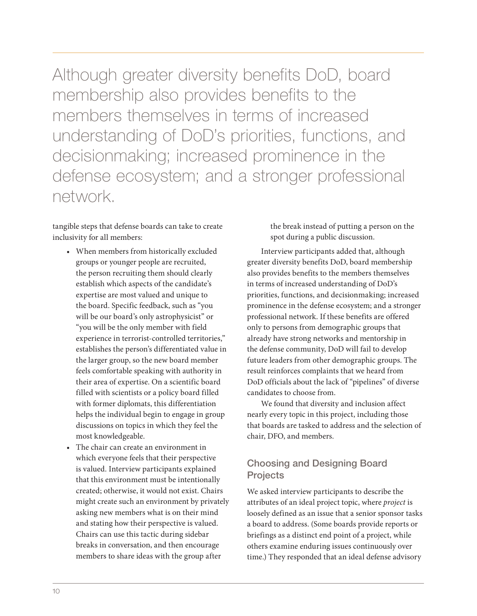Although greater diversity benefits DoD, board membership also provides benefits to the members themselves in terms of increased understanding of DoD's priorities, functions, and decisionmaking; increased prominence in the defense ecosystem; and a stronger professional network.

tangible steps that defense boards can take to create inclusivity for all members:

- When members from historically excluded groups or younger people are recruited, the person recruiting them should clearly establish which aspects of the candidate's expertise are most valued and unique to the board. Specific feedback, such as "you will be our board's only astrophysicist" or "you will be the only member with field experience in terrorist-controlled territories," establishes the person's differentiated value in the larger group, so the new board member feels comfortable speaking with authority in their area of expertise. On a scientific board filled with scientists or a policy board filled with former diplomats, this differentiation helps the individual begin to engage in group discussions on topics in which they feel the most knowledgeable.
- The chair can create an environment in which everyone feels that their perspective is valued. Interview participants explained that this environment must be intentionally created; otherwise, it would not exist. Chairs might create such an environment by privately asking new members what is on their mind and stating how their perspective is valued. Chairs can use this tactic during sidebar breaks in conversation, and then encourage members to share ideas with the group after

the break instead of putting a person on the spot during a public discussion.

Interview participants added that, although greater diversity benefits DoD, board membership also provides benefits to the members themselves in terms of increased understanding of DoD's priorities, functions, and decisionmaking; increased prominence in the defense ecosystem; and a stronger professional network. If these benefits are offered only to persons from demographic groups that already have strong networks and mentorship in the defense community, DoD will fail to develop future leaders from other demographic groups. The result reinforces complaints that we heard from DoD officials about the lack of "pipelines" of diverse candidates to choose from.

We found that diversity and inclusion affect nearly every topic in this project, including those that boards are tasked to address and the selection of chair, DFO, and members.

## Choosing and Designing Board **Projects**

We asked interview participants to describe the attributes of an ideal project topic, where *project* is loosely defined as an issue that a senior sponsor tasks a board to address. (Some boards provide reports or briefings as a distinct end point of a project, while others examine enduring issues continuously over time.) They responded that an ideal defense advisory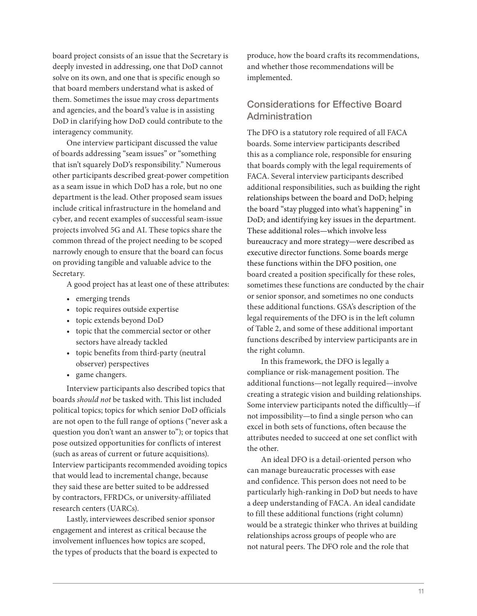board project consists of an issue that the Secretary is deeply invested in addressing, one that DoD cannot solve on its own, and one that is specific enough so that board members understand what is asked of them. Sometimes the issue may cross departments and agencies, and the board's value is in assisting DoD in clarifying how DoD could contribute to the interagency community.

One interview participant discussed the value of boards addressing "seam issues" or "something that isn't squarely DoD's responsibility." Numerous other participants described great-power competition as a seam issue in which DoD has a role, but no one department is the lead. Other proposed seam issues include critical infrastructure in the homeland and cyber, and recent examples of successful seam-issue projects involved 5G and AI. These topics share the common thread of the project needing to be scoped narrowly enough to ensure that the board can focus on providing tangible and valuable advice to the Secretary.

A good project has at least one of these attributes:

- emerging trends
- topic requires outside expertise
- topic extends beyond DoD
- topic that the commercial sector or other sectors have already tackled
- topic benefits from third-party (neutral observer) perspectives
- game changers.

Interview participants also described topics that boards *should not* be tasked with. This list included political topics; topics for which senior DoD officials are not open to the full range of options ("never ask a question you don't want an answer to"); or topics that pose outsized opportunities for conflicts of interest (such as areas of current or future acquisitions). Interview participants recommended avoiding topics that would lead to incremental change, because they said these are better suited to be addressed by contractors, FFRDCs, or university-affiliated research centers (UARCs).

Lastly, interviewees described senior sponsor engagement and interest as critical because the involvement influences how topics are scoped, the types of products that the board is expected to

produce, how the board crafts its recommendations, and whether those recommendations will be implemented.

## Considerations for Effective Board Administration

The DFO is a statutory role required of all FACA boards. Some interview participants described this as a compliance role, responsible for ensuring that boards comply with the legal requirements of FACA. Several interview participants described additional responsibilities, such as building the right relationships between the board and DoD; helping the board "stay plugged into what's happening" in DoD; and identifying key issues in the department. These additional roles—which involve less bureaucracy and more strategy—were described as executive director functions. Some boards merge these functions within the DFO position, one board created a position specifically for these roles, sometimes these functions are conducted by the chair or senior sponsor, and sometimes no one conducts these additional functions. GSA's description of the legal requirements of the DFO is in the left column of Table 2, and some of these additional important functions described by interview participants are in the right column.

In this framework, the DFO is legally a compliance or risk-management position. The additional functions—not legally required—involve creating a strategic vision and building relationships. Some interview participants noted the difficultly—if not impossibility—to find a single person who can excel in both sets of functions, often because the attributes needed to succeed at one set conflict with the other.

An ideal DFO is a detail-oriented person who can manage bureaucratic processes with ease and confidence. This person does not need to be particularly high-ranking in DoD but needs to have a deep understanding of FACA. An ideal candidate to fill these additional functions (right column) would be a strategic thinker who thrives at building relationships across groups of people who are not natural peers. The DFO role and the role that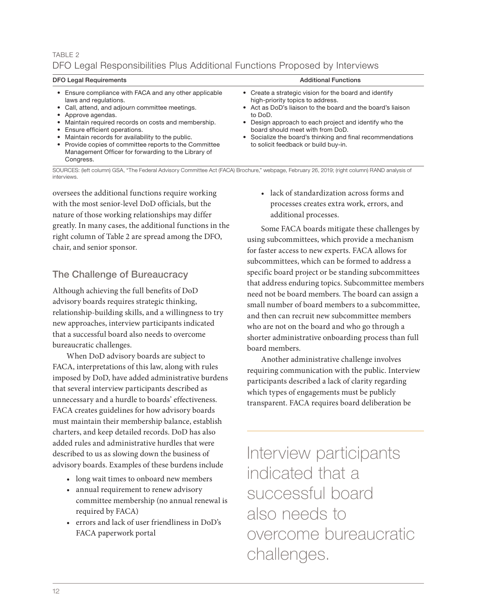## TABLE 2 DFO Legal Responsibilities Plus Additional Functions Proposed by Interviews

| <b>DFO Legal Requirements</b>                                                                                                                                                                                                                                                                                                                                                                                             | <b>Additional Functions</b>                                                                                                                                                                                                                                                                                                                                              |  |  |
|---------------------------------------------------------------------------------------------------------------------------------------------------------------------------------------------------------------------------------------------------------------------------------------------------------------------------------------------------------------------------------------------------------------------------|--------------------------------------------------------------------------------------------------------------------------------------------------------------------------------------------------------------------------------------------------------------------------------------------------------------------------------------------------------------------------|--|--|
| • Ensure compliance with FACA and any other applicable<br>laws and regulations.<br>• Call, attend, and adjourn committee meetings.<br>• Approve agendas.<br>• Maintain required records on costs and membership.<br>• Ensure efficient operations.<br>• Maintain records for availability to the public.<br>• Provide copies of committee reports to the Committee<br>Management Officer for forwarding to the Library of | • Create a strategic vision for the board and identify<br>high-priority topics to address.<br>• Act as DoD's liaison to the board and the board's liaison<br>to DoD.<br>• Design approach to each project and identify who the<br>board should meet with from DoD.<br>• Socialize the board's thinking and final recommendations<br>to solicit feedback or build buy-in. |  |  |

SOURCES: (left column) GSA, "The Federal Advisory Committee Act (FACA) Brochure," webpage, February 26, 2019; (right column) RAND analysis of interviews.

oversees the additional functions require working with the most senior-level DoD officials, but the nature of those working relationships may differ greatly. In many cases, the additional functions in the right column of Table 2 are spread among the DFO, chair, and senior sponsor.

## The Challenge of Bureaucracy

Congress.

Although achieving the full benefits of DoD advisory boards requires strategic thinking, relationship-building skills, and a willingness to try new approaches, interview participants indicated that a successful board also needs to overcome bureaucratic challenges.

When DoD advisory boards are subject to FACA, interpretations of this law, along with rules imposed by DoD, have added administrative burdens that several interview participants described as unnecessary and a hurdle to boards' effectiveness. FACA creates guidelines for how advisory boards must maintain their membership balance, establish charters, and keep detailed records. DoD has also added rules and administrative hurdles that were described to us as slowing down the business of advisory boards. Examples of these burdens include

- long wait times to onboard new members
- annual requirement to renew advisory committee membership (no annual renewal is required by FACA)
- errors and lack of user friendliness in DoD's FACA paperwork portal

• lack of standardization across forms and processes creates extra work, errors, and additional processes.

Some FACA boards mitigate these challenges by using subcommittees, which provide a mechanism for faster access to new experts. FACA allows for subcommittees, which can be formed to address a specific board project or be standing subcommittees that address enduring topics. Subcommittee members need not be board members. The board can assign a small number of board members to a subcommittee, and then can recruit new subcommittee members who are not on the board and who go through a shorter administrative onboarding process than full board members.

Another administrative challenge involves requiring communication with the public. Interview participants described a lack of clarity regarding which types of engagements must be publicly transparent. FACA requires board deliberation be

Interview participants indicated that a successful board also needs to overcome bureaucratic challenges.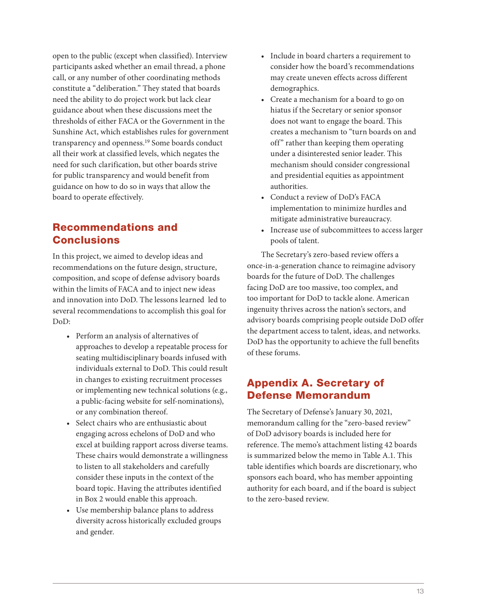open to the public (except when classified). Interview participants asked whether an email thread, a phone call, or any number of other coordinating methods constitute a "deliberation." They stated that boards need the ability to do project work but lack clear guidance about when these discussions meet the thresholds of either FACA or the Government in the Sunshine Act, which establishes rules for government transparency and openness.19 Some boards conduct all their work at classified levels, which negates the need for such clarification, but other boards strive for public transparency and would benefit from guidance on how to do so in ways that allow the board to operate effectively.

## Recommendations and **Conclusions**

In this project, we aimed to develop ideas and recommendations on the future design, structure, composition, and scope of defense advisory boards within the limits of FACA and to inject new ideas and innovation into DoD. The lessons learned led to several recommendations to accomplish this goal for DoD:

- Perform an analysis of alternatives of approaches to develop a repeatable process for seating multidisciplinary boards infused with individuals external to DoD. This could result in changes to existing recruitment processes or implementing new technical solutions (e.g., a public-facing website for self-nominations), or any combination thereof.
- Select chairs who are enthusiastic about engaging across echelons of DoD and who excel at building rapport across diverse teams. These chairs would demonstrate a willingness to listen to all stakeholders and carefully consider these inputs in the context of the board topic. Having the attributes identified in Box 2 would enable this approach.
- Use membership balance plans to address diversity across historically excluded groups and gender.
- Include in board charters a requirement to consider how the board's recommendations may create uneven effects across different demographics.
- Create a mechanism for a board to go on hiatus if the Secretary or senior sponsor does not want to engage the board. This creates a mechanism to "turn boards on and off" rather than keeping them operating under a disinterested senior leader. This mechanism should consider congressional and presidential equities as appointment authorities.
- Conduct a review of DoD's FACA implementation to minimize hurdles and mitigate administrative bureaucracy.
- Increase use of subcommittees to access larger pools of talent.

The Secretary's zero-based review offers a once-in-a-generation chance to reimagine advisory boards for the future of DoD. The challenges facing DoD are too massive, too complex, and too important for DoD to tackle alone. American ingenuity thrives across the nation's sectors, and advisory boards comprising people outside DoD offer the department access to talent, ideas, and networks. DoD has the opportunity to achieve the full benefits of these forums.

## Appendix A. Secretary of Defense Memorandum

The Secretary of Defense's January 30, 2021, memorandum calling for the "zero-based review" of DoD advisory boards is included here for reference. The memo's attachment listing 42 boards is summarized below the memo in Table A.1. This table identifies which boards are discretionary, who sponsors each board, who has member appointing authority for each board, and if the board is subject to the zero-based review.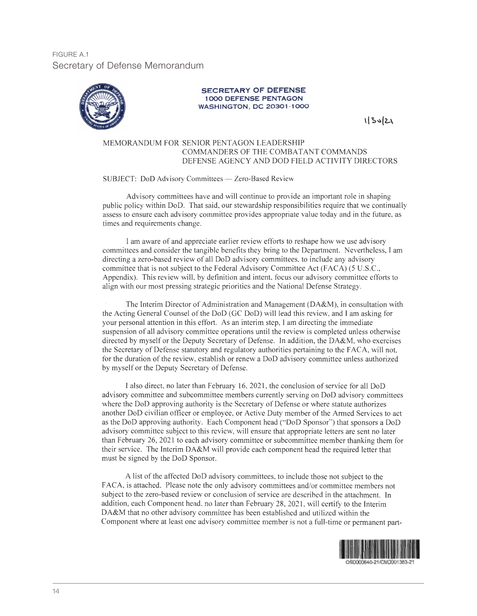FIGURE A.1 Secretary of Defense Memorandum



#### **SECRETARY OF DEFENSE 1000 DEFENSE PENTAGON** WASHINGTON, DC 20301-1000

1/30/21

#### MEMORANDUM FOR SENIOR PENTAGON LEADERSHIP COMMANDERS OF THE COMBATANT COMMANDS DEFENSE AGENCY AND DOD FIELD ACTIVITY DIRECTORS

SUBJECT: DoD Advisory Committees - Zero-Based Review

Advisory committees have and will continue to provide an important role in shaping public policy within DoD. That said, our stewardship responsibilities require that we continually assess to ensure each advisory committee provides appropriate value today and in the future, as times and requirements change.

I am aware of and appreciate earlier review efforts to reshape how we use advisory committees and consider the tangible benefits they bring to the Department. Nevertheless, I am directing a zero-based review of all DoD advisory committees, to include any advisory committee that is not subject to the Federal Advisory Committee Act (FACA) (5 U.S.C., Appendix). This review will, by definition and intent, focus our advisory committee efforts to align with our most pressing strategic priorities and the National Defense Strategy.

The Interim Director of Administration and Management (DA&M), in consultation with the Acting General Counsel of the DoD (GC DoD) will lead this review, and I am asking for your personal attention in this effort. As an interim step, I am directing the immediate suspension of all advisory committee operations until the review is completed unless otherwise directed by myself or the Deputy Secretary of Defense. In addition, the DA&M, who exercises the Secretary of Defense statutory and regulatory authorities pertaining to the FACA, will not, for the duration of the review, establish or renew a DoD advisory committee unless authorized by myself or the Deputy Secretary of Defense.

I also direct, no later than February 16, 2021, the conclusion of service for all DoD advisory committee and subcommittee members currently serving on DoD advisory committees where the DoD approving authority is the Secretary of Defense or where statute authorizes another DoD civilian officer or employee, or Active Duty member of the Armed Services to act as the DoD approving authority. Each Component head ("DoD Sponsor") that sponsors a DoD advisory committee subject to this review, will ensure that appropriate letters are sent no later than February 26, 2021 to each advisory committee or subcommittee member thanking them for their service. The Interim DA&M will provide each component head the required letter that must be signed by the DoD Sponsor.

A list of the affected DoD advisory committees, to include those not subject to the FACA, is attached. Please note the only advisory committees and/or committee members not subject to the zero-based review or conclusion of service are described in the attachment. In addition, each Component head, no later than February 28, 2021, will certify to the Interim DA&M that no other advisory committee has been established and utilized within the Component where at least one advisory committee member is not a full-time or permanent part-

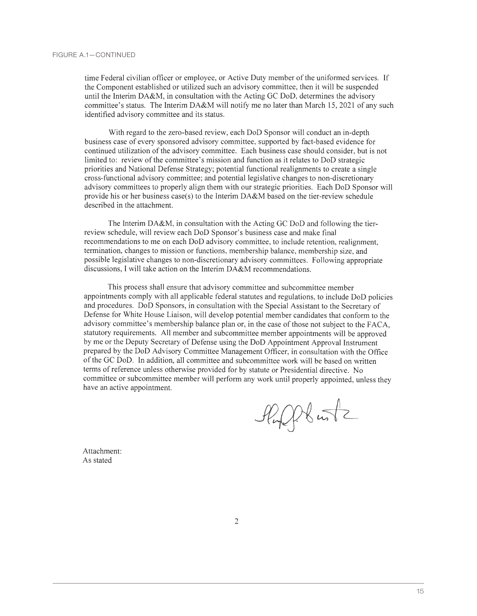time Federal civilian officer or employee, or Active Duty member of the uniformed services. If the Component established or utilized such an advisory committee, then it will be suspended until the Interim DA&M, in consultation with the Acting GC DoD, determines the advisory committee's status. The Interim DA&M will notify me no later than March 15, 2021 of any such identified advisory committee and its status.

With regard to the zero-based review, each DoD Sponsor will conduct an in-depth business case of every sponsored advisory committee, supported by fact-based evidence for continued utilization of the advisory committee. Each business case should consider, but is not limited to: review of the committee's mission and function as it relates to DoD strategic priorities and National Defense Strategy; potential functional realignments to create a single cross-functional advisory committee; and potential legislative changes to non-discretionary advisory committees to properly align them with our strategic priorities. Each DoD Sponsor will provide his or her business case(s) to the Interim  $D A \& M$  based on the tier-review schedule described in the attachment.

The Interim DA&M, in consultation with the Acting GC DoD and following the tierreview schedule, will review each DoD Sponsor's business case and make final recommendations to me on each DoD advisory committee, to include retention, realignment, termination, changes to mission or functions, membership balance, membership size, and possible legislative changes to non-discretionary advisory committees. Following appropriate discussions, I will take action on the Interim DA&M recommendations.

This process shall ensure that advisory committee and subcommittee member appointments comply with all applicable federal statutes and regulations, to include DoD policies and procedures. DoD Sponsors, in consultation with the Special Assistant to the Secretary of Defense for White House Liaison, will develop potential member candidates that conform to the advisory committee's membership balance plan or, in the case of those not subject to the FACA, statutory requirements. All member and subcommittee member appointments will be approved by me or the Deputy Secretary of Defense using the DoD Appointment Approval Instrument prepared by the DoD Advisory Committee Management Officer, in consultation with the Office of the GC DoD. In addition, all committee and subcommittee work will be based on written terms of reference unless otherwise provided for by statute or Presidential directive. No committee or subcommittee member will perform any work until properly appointed, unless they have an active appointment.

Plupplantz

Attachment: As stated

 $\overline{2}$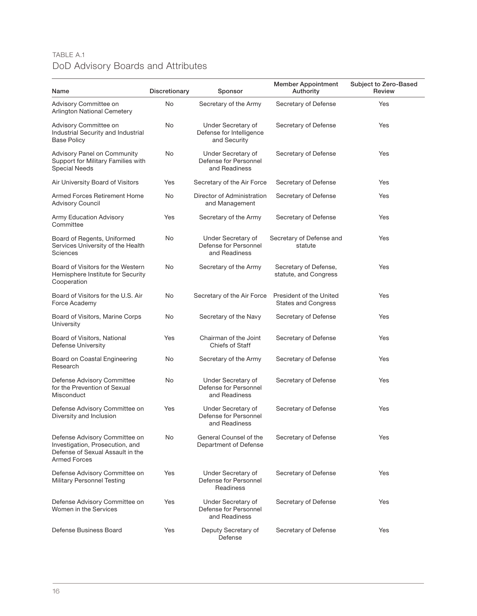## TABLE A.1 DoD Advisory Boards and Attributes

| Name                                                                                                                        | Discretionary | Sponsor                                                        | <b>Member Appointment</b><br>Authority                | Subject to Zero-Based<br>Review |
|-----------------------------------------------------------------------------------------------------------------------------|---------------|----------------------------------------------------------------|-------------------------------------------------------|---------------------------------|
| Advisory Committee on<br><b>Arlington National Cemetery</b>                                                                 | No            | Secretary of the Army                                          | Secretary of Defense                                  | Yes                             |
| Advisory Committee on<br>Industrial Security and Industrial<br><b>Base Policy</b>                                           | No            | Under Secretary of<br>Defense for Intelligence<br>and Security | Secretary of Defense                                  | Yes                             |
| Advisory Panel on Community<br>Support for Military Families with<br><b>Special Needs</b>                                   | No            | Under Secretary of<br>Defense for Personnel<br>and Readiness   | Secretary of Defense                                  | Yes                             |
| Air University Board of Visitors                                                                                            | Yes           | Secretary of the Air Force                                     | Secretary of Defense                                  | Yes                             |
| Armed Forces Retirement Home<br><b>Advisory Council</b>                                                                     | No            | Director of Administration<br>and Management                   | Secretary of Defense                                  | Yes                             |
| <b>Army Education Advisory</b><br>Committee                                                                                 | Yes           | Secretary of the Army                                          | Secretary of Defense                                  | Yes                             |
| Board of Regents, Uniformed<br>Services University of the Health<br>Sciences                                                | No            | Under Secretary of<br>Defense for Personnel<br>and Readiness   | Secretary of Defense and<br>statute                   | Yes                             |
| Board of Visitors for the Western<br>Hemisphere Institute for Security<br>Cooperation                                       | No            | Secretary of the Army                                          | Secretary of Defense,<br>statute, and Congress        | Yes                             |
| Board of Visitors for the U.S. Air<br>Force Academy                                                                         | No            | Secretary of the Air Force                                     | President of the United<br><b>States and Congress</b> | Yes                             |
| Board of Visitors, Marine Corps<br>University                                                                               | No            | Secretary of the Navy                                          | Secretary of Defense                                  | Yes                             |
| Board of Visitors, National<br>Defense University                                                                           | Yes           | Chairman of the Joint<br><b>Chiefs of Staff</b>                | Secretary of Defense                                  | Yes                             |
| Board on Coastal Engineering<br>Research                                                                                    | No            | Secretary of the Army                                          | Secretary of Defense                                  | Yes                             |
| Defense Advisory Committee<br>for the Prevention of Sexual<br>Misconduct                                                    | No            | Under Secretary of<br>Defense for Personnel<br>and Readiness   | Secretary of Defense                                  | Yes                             |
| Defense Advisory Committee on<br>Diversity and Inclusion                                                                    | Yes           | Under Secretary of<br>Defense for Personnel<br>and Readiness   | Secretary of Defense                                  | Yes                             |
| Defense Advisory Committee on<br>Investigation, Prosecution, and<br>Defense of Sexual Assault in the<br><b>Armed Forces</b> | No            | General Counsel of the<br>Department of Defense                | Secretary of Defense                                  | Yes                             |
| Defense Advisory Committee on<br><b>Military Personnel Testing</b>                                                          | Yes           | Under Secretary of<br>Defense for Personnel<br>Readiness       | Secretary of Defense                                  | Yes                             |
| Defense Advisory Committee on<br>Women in the Services                                                                      | Yes           | Under Secretary of<br>Defense for Personnel<br>and Readiness   | Secretary of Defense                                  | Yes                             |
| Defense Business Board                                                                                                      | Yes           | Deputy Secretary of<br>Defense                                 | Secretary of Defense                                  | Yes                             |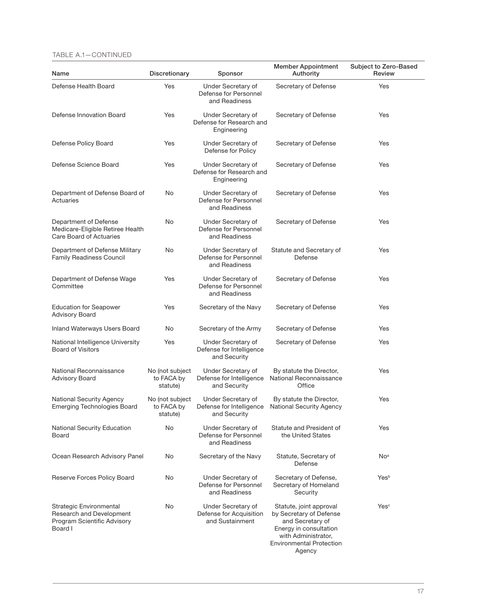#### TABLE A.1—CONTINUED

| Name                                                                                          | Discretionary                             | Sponsor                                                          | <b>Member Appointment</b><br>Authority                                                                                                                               | Subject to Zero-Based<br>Review |
|-----------------------------------------------------------------------------------------------|-------------------------------------------|------------------------------------------------------------------|----------------------------------------------------------------------------------------------------------------------------------------------------------------------|---------------------------------|
| Defense Health Board                                                                          | Yes                                       | Under Secretary of<br>Defense for Personnel<br>and Readiness     | Secretary of Defense                                                                                                                                                 | Yes                             |
| Defense Innovation Board                                                                      | Yes                                       | Under Secretary of<br>Defense for Research and<br>Engineering    | Secretary of Defense                                                                                                                                                 | Yes                             |
| Defense Policy Board                                                                          | Yes                                       | Under Secretary of<br>Defense for Policy                         | Secretary of Defense                                                                                                                                                 | Yes                             |
| Defense Science Board                                                                         | Yes                                       | Under Secretary of<br>Defense for Research and<br>Engineering    | Secretary of Defense                                                                                                                                                 | Yes                             |
| Department of Defense Board of<br>Actuaries                                                   | No                                        | Under Secretary of<br>Defense for Personnel<br>and Readiness     | Secretary of Defense                                                                                                                                                 | Yes                             |
| Department of Defense<br>Medicare-Eligible Retiree Health<br>Care Board of Actuaries          | No                                        | Under Secretary of<br>Defense for Personnel<br>and Readiness     | Secretary of Defense                                                                                                                                                 | Yes                             |
| Department of Defense Military<br><b>Family Readiness Council</b>                             | No                                        | Under Secretary of<br>Defense for Personnel<br>and Readiness     | Statute and Secretary of<br>Defense                                                                                                                                  | Yes                             |
| Department of Defense Wage<br>Committee                                                       | Yes                                       | Under Secretary of<br>Defense for Personnel<br>and Readiness     | Secretary of Defense                                                                                                                                                 | Yes                             |
| <b>Education for Seapower</b><br>Advisory Board                                               | Yes                                       | Secretary of the Navy                                            | Secretary of Defense                                                                                                                                                 | Yes                             |
| Inland Waterways Users Board                                                                  | No                                        | Secretary of the Army                                            | Secretary of Defense                                                                                                                                                 | Yes                             |
| National Intelligence University<br><b>Board of Visitors</b>                                  | Yes                                       | Under Secretary of<br>Defense for Intelligence<br>and Security   | Secretary of Defense                                                                                                                                                 | Yes                             |
| National Reconnaissance<br><b>Advisory Board</b>                                              | No (not subject<br>to FACA by<br>statute) | Under Secretary of<br>Defense for Intelligence<br>and Security   | By statute the Director,<br>National Reconnaissance<br>Office                                                                                                        | Yes                             |
| <b>National Security Agency</b><br><b>Emerging Technologies Board</b>                         | No (not subject<br>to FACA by<br>statute) | Under Secretary of<br>Defense for Intelligence<br>and Security   | By statute the Director,<br><b>National Security Agency</b>                                                                                                          | Yes                             |
| <b>National Security Education</b><br>Board                                                   | No                                        | Under Secretary of<br>Defense for Personnel<br>and Readiness     | Statute and President of<br>the United States                                                                                                                        | Yes                             |
| Ocean Research Advisory Panel                                                                 | No                                        | Secretary of the Navy                                            | Statute, Secretary of<br>Defense                                                                                                                                     | No <sup>a</sup>                 |
| Reserve Forces Policy Board                                                                   | No                                        | Under Secretary of<br>Defense for Personnel<br>and Readiness     | Secretary of Defense,<br>Secretary of Homeland<br>Security                                                                                                           | Yesb                            |
| Strategic Environmental<br>Research and Development<br>Program Scientific Advisory<br>Board I | No                                        | Under Secretary of<br>Defense for Acquisition<br>and Sustainment | Statute, joint approval<br>by Secretary of Defense<br>and Secretary of<br>Energy in consultation<br>with Administrator,<br><b>Environmental Protection</b><br>Agency | Yes <sup>c</sup>                |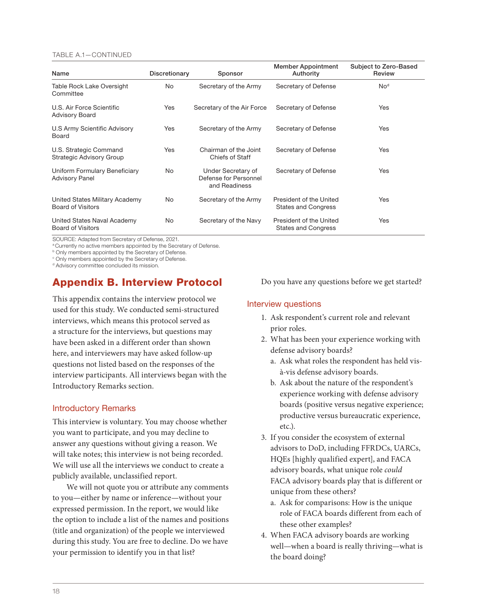#### TABLE A.1—CONTINUED

| Name                                                       | Discretionary | Sponsor                                                      | <b>Member Appointment</b><br>Authority                | Subject to Zero-Based<br>Review |
|------------------------------------------------------------|---------------|--------------------------------------------------------------|-------------------------------------------------------|---------------------------------|
| Table Rock Lake Oversight<br>Committee                     | No            | Secretary of the Army                                        | Secretary of Defense                                  | No <sup>d</sup>                 |
| U.S. Air Force Scientific<br><b>Advisory Board</b>         | Yes           | Secretary of the Air Force                                   | Secretary of Defense                                  | Yes                             |
| U.S Army Scientific Advisory<br>Board                      | Yes           | Secretary of the Army                                        | Secretary of Defense                                  | Yes                             |
| U.S. Strategic Command<br><b>Strategic Advisory Group</b>  | <b>Yes</b>    | Chairman of the Joint<br>Chiefs of Staff                     | Secretary of Defense                                  | Yes                             |
| Uniform Formulary Beneficiary<br><b>Advisory Panel</b>     | No            | Under Secretary of<br>Defense for Personnel<br>and Readiness | Secretary of Defense                                  | Yes                             |
| United States Military Academy<br><b>Board of Visitors</b> | No            | Secretary of the Army                                        | President of the United<br><b>States and Congress</b> | Yes                             |
| United States Naval Academy<br><b>Board of Visitors</b>    | No            | Secretary of the Navy                                        | President of the United<br><b>States and Congress</b> | Yes                             |

SOURCE: Adapted from Secretary of Defense, 2021.<br><sup>a</sup> Currently no active members appointed by the Secretary of Defense.

**b Only members appointed by the Secretary of Defense.** 

c Only members appointed by the Secretary of Defense.

<sup>d</sup> Advisory committee concluded its mission.

## Appendix B. Interview Protocol

This appendix contains the interview protocol we used for this study. We conducted semi-structured interviews, which means this protocol served as a structure for the interviews, but questions may have been asked in a different order than shown here, and interviewers may have asked follow-up questions not listed based on the responses of the interview participants. All interviews began with the Introductory Remarks section.

#### Introductory Remarks

This interview is voluntary. You may choose whether you want to participate, and you may decline to answer any questions without giving a reason. We will take notes; this interview is not being recorded. We will use all the interviews we conduct to create a publicly available, unclassified report.

We will not quote you or attribute any comments to you—either by name or inference—without your expressed permission. In the report, we would like the option to include a list of the names and positions (title and organization) of the people we interviewed during this study. You are free to decline. Do we have your permission to identify you in that list?

Do you have any questions before we get started?

### Interview questions

- 1. Ask respondent's current role and relevant prior roles.
- 2. What has been your experience working with defense advisory boards?
	- a. Ask what roles the respondent has held visà-vis defense advisory boards.
	- b. Ask about the nature of the respondent's experience working with defense advisory boards (positive versus negative experience; productive versus bureaucratic experience, etc.).
- 3. If you consider the ecosystem of external advisors to DoD, including FFRDCs, UARCs, HQEs [highly qualified expert], and FACA advisory boards, what unique role *could* FACA advisory boards play that is different or unique from these others?
	- a. Ask for comparisons: How is the unique role of FACA boards different from each of these other examples?
- 4. When FACA advisory boards are working well—when a board is really thriving—what is the board doing?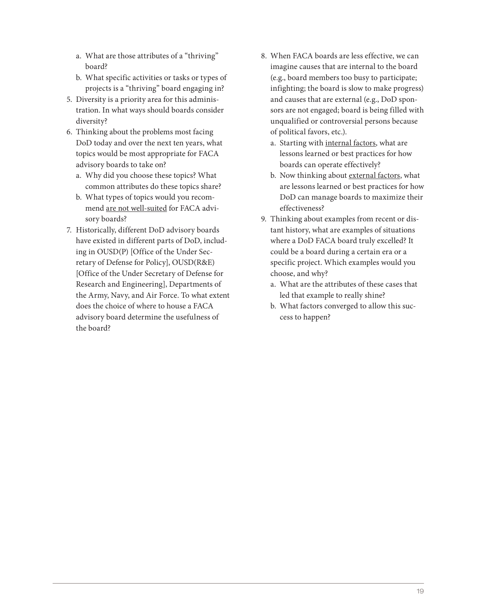- a. What are those attributes of a "thriving" board?
- b. What specific activities or tasks or types of projects is a "thriving" board engaging in?
- 5. Diversity is a priority area for this administration. In what ways should boards consider diversity?
- 6. Thinking about the problems most facing DoD today and over the next ten years, what topics would be most appropriate for FACA advisory boards to take on?
	- a. Why did you choose these topics? What common attributes do these topics share?
	- b. What types of topics would you recommend are not well-suited for FACA advisory boards?
- 7. Historically, different DoD advisory boards have existed in different parts of DoD, including in OUSD(P) [Office of the Under Secretary of Defense for Policy], OUSD(R&E) [Office of the Under Secretary of Defense for Research and Engineering], Departments of the Army, Navy, and Air Force. To what extent does the choice of where to house a FACA advisory board determine the usefulness of the board?
- 8. When FACA boards are less effective, we can imagine causes that are internal to the board (e.g., board members too busy to participate; infighting; the board is slow to make progress) and causes that are external (e.g., DoD sponsors are not engaged; board is being filled with unqualified or controversial persons because of political favors, etc.).
	- a. Starting with internal factors, what are lessons learned or best practices for how boards can operate effectively?
	- b. Now thinking about external factors, what are lessons learned or best practices for how DoD can manage boards to maximize their effectiveness?
- 9. Thinking about examples from recent or distant history, what are examples of situations where a DoD FACA board truly excelled? It could be a board during a certain era or a specific project. Which examples would you choose, and why?
	- a. What are the attributes of these cases that led that example to really shine?
	- b. What factors converged to allow this success to happen?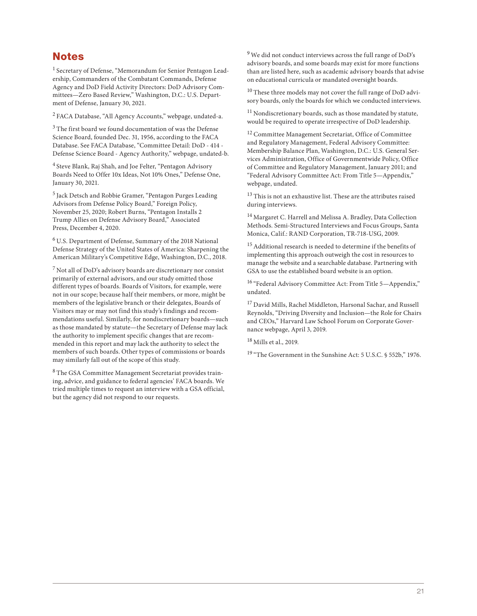## **Notes**

1 Secretary of Defense, "Memorandum for Senior Pentagon Leadership, Commanders of the Combatant Commands, Defense Agency and DoD Field Activity Directors: DoD Advisory Committees—Zero Based Review," Washington, D.C.: U.S. Department of Defense, January 30, 2021.

2 FACA Database, "All Agency Accounts," webpage, undated-a.

<sup>3</sup> The first board we found documentation of was the Defense Science Board, founded Dec. 31, 1956, according to the FACA Database. See FACA Database, "Committee Detail: DoD - 414 - Defense Science Board - Agency Authority," webpage, undated-b.

4 Steve Blank, Raj Shah, and Joe Felter, "Pentagon Advisory Boards Need to Offer 10x Ideas, Not 10% Ones," Defense One, January 30, 2021.

5 Jack Detsch and Robbie Gramer, "Pentagon Purges Leading Advisors from Defense Policy Board," Foreign Policy, November 25, 2020; Robert Burns, "Pentagon Installs 2 Trump Allies on Defense Advisory Board," Associated Press, December 4, 2020.

6 U.S. Department of Defense, Summary of the 2018 National Defense Strategy of the United States of America: Sharpening the American Military's Competitive Edge, Washington, D.C., 2018.

 $7$  Not all of DoD's advisory boards are discretionary nor consist primarily of external advisors, and our study omitted those different types of boards. Boards of Visitors, for example, were not in our scope; because half their members, or more, might be members of the legislative branch or their delegates, Boards of Visitors may or may not find this study's findings and recommendations useful. Similarly, for nondiscretionary boards—such as those mandated by statute—the Secretary of Defense may lack the authority to implement specific changes that are recommended in this report and may lack the authority to select the members of such boards. Other types of commissions or boards may similarly fall out of the scope of this study.

8 The GSA Committee Management Secretariat provides training, advice, and guidance to federal agencies' FACA boards. We tried multiple times to request an interview with a GSA official, but the agency did not respond to our requests.

9 We did not conduct interviews across the full range of DoD's advisory boards, and some boards may exist for more functions than are listed here, such as academic advisory boards that advise on educational curricula or mandated oversight boards.

<sup>10</sup> These three models may not cover the full range of DoD advisory boards, only the boards for which we conducted interviews.

<sup>11</sup> Nondiscretionary boards, such as those mandated by statute, would be required to operate irrespective of DoD leadership.

12 Committee Management Secretariat, Office of Committee and Regulatory Management, Federal Advisory Committee: Membership Balance Plan, Washington, D.C.: U.S. General Services Administration, Office of Governmentwide Policy, Office of Committee and Regulatory Management, January 2011; and "Federal Advisory Committee Act: From Title 5—Appendix," webpage, undated.

<sup>13</sup> This is not an exhaustive list. These are the attributes raised during interviews.

14 Margaret C. Harrell and Melissa A. Bradley, Data Collection Methods. Semi-Structured Interviews and Focus Groups, Santa Monica, Calif.: RAND Corporation, TR-718-USG, 2009.

15 Additional research is needed to determine if the benefits of implementing this approach outweigh the cost in resources to manage the website and a searchable database. Partnering with GSA to use the established board website is an option.

16 "Federal Advisory Committee Act: From Title 5—Appendix," undated.

17 David Mills, Rachel Middleton, Harsonal Sachar, and Russell Reynolds, "Driving Diversity and Inclusion—the Role for Chairs and CEOs," Harvard Law School Forum on Corporate Governance webpage, April 3, 2019.

18 Mills et al., 2019.

19 "The Government in the Sunshine Act: 5 U.S.C. § 552b," 1976.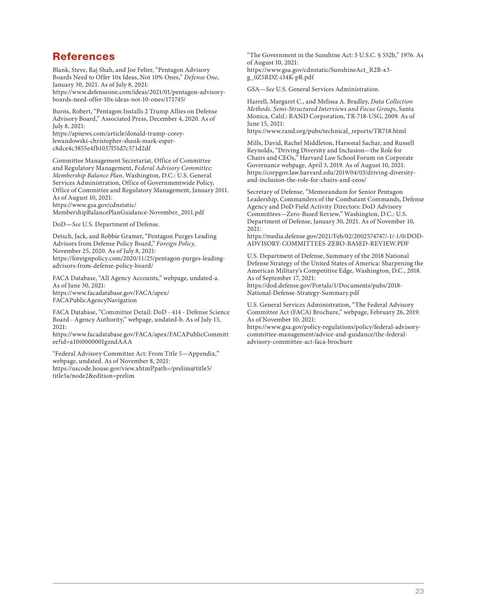## References

Blank, Steve, Raj Shah, and Joe Felter, "Pentagon Advisory Boards Need to Offer 10x Ideas, Not 10% Ones," *Defense One*, January 30, 2021. As of July 8, 2021: [https://www.defenseone.com/ideas/2021/01/pentagon-advisory](https://www.defenseone.com/ideas/2021/01/pentagon-advisory-boards-need-offer-10x-ideas-not-10-ones/171745/)boards-need-offer-10x-ideas-not-10-ones/171745/

Burns, Robert, "Pentagon Installs 2 Trump Allies on Defense Advisory Board," Associated Press, December 4, 2020. As of July 8, 2021:

[https://apnews.com/article/donald-trump-corey](https://apnews.com/article/donald-trump-corey-lewandowski-christopher-shank-mark-esper-c8dce4c3855e4fb1037f51d7c571d2df)lewandowski-christopher-shank-mark-esperc8dce4c3855e4fb1037f51d7c571d2df

Committee Management Secretariat, Office of Committee and Regulatory Management, *Federal Advisory Committee: Membership Balance Plan*, Washington, D.C.: U.S. General Services Administration, Office of Governmentwide Policy, Office of Committee and Regulatory Management, January 2011. As of August 10, 2021: https://www.gsa.gov/cdnstatic/

[MembershipBalancePlanGuidance-November\\_2011.pdf](https://www.gsa.gov/cdnstatic/MembershipBalancePlanGuidance-November_2011.pdf)

DoD—*See* U.S. Department of Defense.

Detsch, Jack, and Robbie Gramer, "Pentagon Purges Leading Advisors from Defense Policy Board," *Foreign Policy*, November 25, 2020. As of July 8, 2021: [https://foreignpolicy.com/2020/11/25/pentagon-purges-leading](https://foreignpolicy.com/2020/11/25/pentagon-purges-leading-advisors-from-defense-policy-board/)advisors-from-defense-policy-board/

FACA Database, "All Agency Accounts," webpage, undated-a. As of June 30, 2021: [https://www.facadatabase.gov/FACA/apex/](https://www.facadatabase.gov/FACA/apex/FACAPublicAgencyNavigation) FACAPublicAgencyNavigation

FACA Database, "Committee Detail: DoD - 414 - Defense Science Board - Agency Authority," webpage, undated-b. As of July 15, 2021:

[https://www.facadatabase.gov/FACA/apex/FACAPublicCommitt](https://www.facadatabase.gov/FACA/apex/FACAPublicCommittee?id=a10t0000001gzndAAA) ee?id=a10t0000001gzndAAA

"Federal Advisory Committee Act: From Title 5—Appendix," webpage, undated. As of November 8, 2021: [https://uscode.house.gov/view.xhtml?path=/prelim@title5/](https://uscode.house.gov/view.xhtml?path=/prelim@title5/title5a/node2&edition=prelim) title5a/node2&edition=prelim

"The Government in the Sunshine Act: 5 U.S.C. § 552b," 1976. As of August 10, 2021: [https://www.gsa.gov/cdnstatic/SunshineAct\\_R2B-x3](https://www.gsa.gov/cdnstatic/SunshineAct_R2B-x3-g_0Z5RDZ-i34K-pR.pdf) g\_0Z5RDZ-i34K-pR.pdf

GSA—*See* U.S. General Services Administration.

Harrell, Margaret C., and Melissa A. Bradley, *Data Collection Methods. Semi-Structured Interviews and Focus Groups*, Santa Monica, Calif.: RAND Corporation, TR-718-USG, 2009. As of June 15, 2021:

[https://www.rand.org/pubs/technical\\_reports/TR718.html](https://www.rand.org/pubs/technical_reports/TR718.html)

Mills, David, Rachel Middleton, Harsonal Sachar, and Russell Reynolds, "Driving Diversity and Inclusion—the Role for Chairs and CEOs," Harvard Law School Forum on Corporate Governance webpage, April 3, 2019. As of August 10, 2021: [https://corpgov.law.harvard.edu/2019/04/03/driving-diversity](https://corpgov.law.harvard.edu/2019/04/03/driving-diversity-and-inclusion-the-role-for-chairs-and-ceos/)and-inclusion-the-role-for-chairs-and-ceos/

Secretary of Defense, "Memorandum for Senior Pentagon Leadership, Commanders of the Combatant Commands, Defense Agency and DoD Field Activity Directors: DoD Advisory Committees—Zero-Based Review," Washington, D.C.: U.S. Department of Defense, January 30, 2021. As of November 10,  $2021$ 

[https://media.defense.gov/2021/Feb/02/2002574747/-1/-1/0/DOD-](https://media.defense.gov/2021/Feb/02/2002574747/-1/-1/0/DOD-ADVISORY-COMMITTEES-ZERO-BASED-REVIEW.PDF)ADVISORY-COMMITTEES-ZERO-BASED-REVIEW.PDF

U.S. Department of Defense, Summary of the 2018 National Defense Strategy of the United States of America: Sharpening the American Military's Competitive Edge, Washington, D.C., 2018. As of September 17, 2021:

[https://dod.defense.gov/Portals/1/Documents/pubs/2018-](https://dod.defense.gov/Portals/1/Documents/pubs/2018-National-Defense-Strategy-Summary.pdf) National-Defense-Strategy-Summary.pdf

U.S. General Services Administration, "The Federal Advisory Committee Act (FACA) Brochure," webpage, February 26, 2019. As of November 10, 2021:

[https://www.gsa.gov/policy-regulations/policy/federal-advisory](https://www.gsa.gov/policy-regulations/policy/federal-advisory-committee-management/advice-and-guidance/the-federal-advisory-committee-act-faca-brochure)committee-management/advice-and-guidance/the-federaladvisory-committee-act-faca-brochure